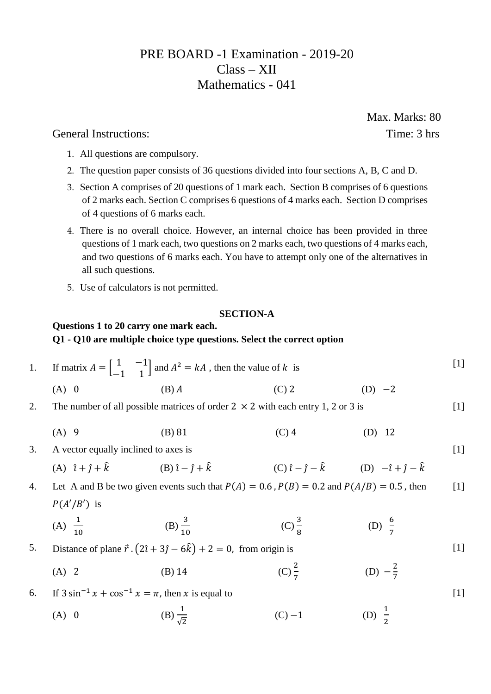# PRE BOARD -1 Examination - 2019-20 Class – XII Mathematics - 041

General Instructions: Time: 3 hrs

- 1. All questions are compulsory.
- 2. The question paper consists of 36 questions divided into four sections A, B, C and D.
- 3. Section A comprises of 20 questions of 1 mark each. Section B comprises of 6 questions of 2 marks each. Section C comprises 6 questions of 4 marks each. Section D comprises of 4 questions of 6 marks each.
- 4. There is no overall choice. However, an internal choice has been provided in three questions of 1 mark each, two questions on 2 marks each, two questions of 4 marks each, and two questions of 6 marks each. You have to attempt only one of the alternatives in all such questions.
- 5. Use of calculators is not permitted.

## **SECTION-A**

# **Questions 1 to 20 carry one mark each. Q1 - Q10 are multiple choice type questions. Select the correct option**

1. If matrix 
$$
A = \begin{bmatrix} 1 & -1 \\ -1 & 1 \end{bmatrix}
$$
 and  $A^2 = kA$ , then the value of k is  
\n(A) 0 \n(B) A \n(C) 2 \n(D) -2

- 2. The number of all possible matrices of order  $2 \times 2$  with each entry 1, 2 or 3 is  $[1]$ 
	- (A) 9 (B) 81 (C) 4 (D) 12
- 3. A vector equally inclined to axes is

(A) 
$$
\hat{i} + \hat{j} + \hat{k}
$$
 (B)  $\hat{i} - \hat{j} + \hat{k}$  (C)  $\hat{i} - \hat{j} - \hat{k}$  (D)  $-\hat{i} + \hat{j} - \hat{k}$ 

4. Let A and B be two given events such that  $P(A) = 0.6$ ,  $P(B) = 0.2$  and  $P(A/B) = 0.5$ , then  $P(A'/B')$  is  $[1]$ 

(A) 
$$
\frac{1}{10}
$$
 \t(B)  $\frac{3}{10}$  \t(C)  $\frac{3}{8}$  \t(D)  $\frac{6}{7}$ 

- 5. Distance of plane  $\vec{r} \cdot (2\hat{i} + 3\hat{j} 6\hat{k}) + 2 = 0$ , from origin is
	- (A) 2 (B) 14 (C) 2 7 (D)  $-\frac{2}{7}$ 7
- 6. If  $3 \sin^{-1} x + \cos^{-1} x = \pi$ , then x is equal to

(A) 0 (B) 
$$
\frac{1}{\sqrt{2}}
$$
 (C) -1 (D)  $\frac{1}{2}$ 

Max. Marks: 80

 $[1]$ 

[1]

[1]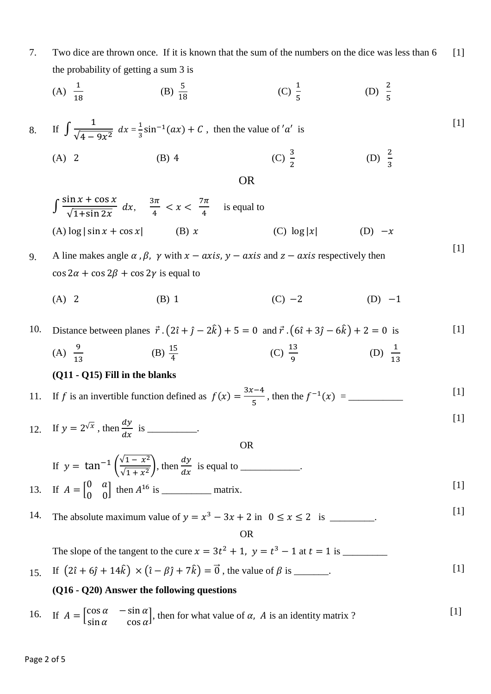7. Two dice are thrown once. If it is known that the sum of the numbers on the dice was less than 6 the probability of getting a sum 3 is  $[1]$ 

(A) 
$$
\frac{1}{18}
$$
 \t\t (B)  $\frac{5}{18}$  \t\t (C)  $\frac{1}{5}$  \t\t (D)  $\frac{2}{5}$ 

8. If 
$$
\int \frac{1}{\sqrt{4 - 9x^2}} dx = \frac{1}{3} \sin^{-1}(ax) + C
$$
, then the value of 'a' is  
\n(A) 2 \t(B) 4 \t(C)  $\frac{3}{2}$  \t(D)  $\frac{2}{3}$ 

OR

2

3

13

 $[1]$ 

 $[1]$ 

$$
\int \frac{\sin x + \cos x}{\sqrt{1 + \sin 2x}} dx, \quad \frac{3\pi}{4} < x < \frac{7\pi}{4}
$$
 is equal to  
\n(A) log | sin x + cos x| (B) x (C) log |x| (D) -x

- 9. A line makes angle  $\alpha$ ,  $\beta$ ,  $\gamma$  with  $x axis$ ,  $y axis$  and  $z axis$  respectively then  $\cos 2\alpha + \cos 2\beta + \cos 2\gamma$  is equal to
	- (A) 2 (B) 1 (C) −2 (D) −1

10. Distance between planes  $\vec{r} \cdot (2\hat{i} + \hat{j} - 2\hat{k}) + 5 = 0$  and  $\vec{r} \cdot (6\hat{i} + 3\hat{j} - 6\hat{k}) + 2 = 0$  is (A)  $\frac{9}{15}$ (B)  $\frac{15}{4}$ (C)  $\frac{13}{3}$  $\frac{13}{9}$  (D)  $\frac{1}{13}$ [1]

### **(Q11 - Q15) Fill in the blanks**

13

11. If *f* is an invertible function defined as 
$$
f(x) = \frac{3x-4}{5}
$$
, then the  $f^{-1}(x) =$  \_\_\_\_\_\_\_ [1]

12. If  $y = 2^{\sqrt{x}}$ , then  $\frac{dy}{dx}$  $\frac{dy}{dx}$  is \_\_\_\_\_\_\_\_\_\_. OR [1]

If 
$$
y = \tan^{-1} \left( \frac{\sqrt{1 - x^2}}{\sqrt{1 + x^2}} \right)
$$
, then  $\frac{dy}{dx}$  is equal to \_\_\_\_\_\_\_.  
If  $A = \begin{bmatrix} 0 & a \\ 0 & 0 \end{bmatrix}$  then  $A^{16}$  is \_\_\_\_\_\_<sub>matrix</sub>. [1]

14. The absolute maximum value of  $y = x^3 - 3x + 2$  in  $0 \le x \le 2$  is \_\_\_\_\_\_\_. [1]

OR

The slope of the tangent to the cure = 3 <sup>2</sup> + 1, = <sup>3</sup> − 1 at = 1 is \_\_\_\_\_\_\_\_\_ 15. If  $(2\hat{i} + 6\hat{j} + 14\hat{k}) \times (\hat{i} - \beta\hat{j} + 7\hat{k}) = \vec{0}$ , the value of  $\beta$  is \_\_\_\_\_\_.

## **(Q16 - Q20) Answer the following questions**

16. If 
$$
A = \begin{bmatrix} \cos \alpha & -\sin \alpha \\ \sin \alpha & \cos \alpha \end{bmatrix}
$$
, then for what value of  $\alpha$ , A is an identity matrix ? [1]

13.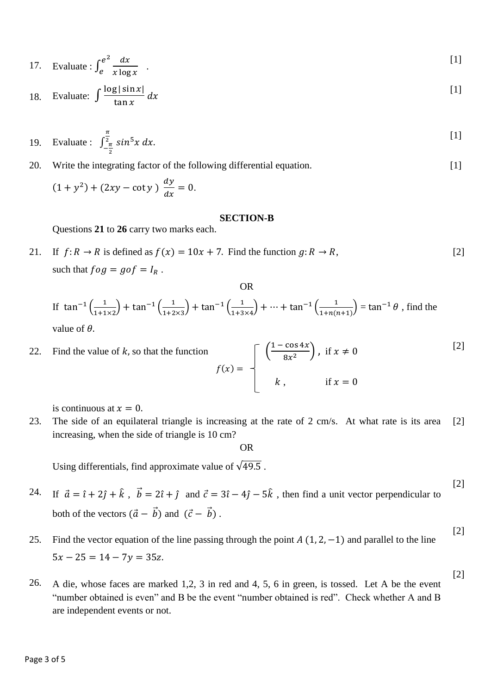17. Evaluate: 
$$
\int_{e}^{e^{2}} \frac{dx}{x \log x}
$$
 [1]

18. Evaluate: 
$$
\int \frac{\log|\sin x|}{\tan x} dx
$$
 [1]

19. Evaluate: 
$$
\int_{-\frac{\pi}{2}}^{\frac{\pi}{2}} \sin^5 x \, dx
$$
.

[1]

[2]

20. Write the integrating factor of the following differential equation.

$$
(1 + y2) + (2xy - \cot y) \frac{dy}{dx} = 0.
$$

#### **SECTION-B**

Questions **21** to **26** carry two marks each.

21. If 
$$
f: R \to R
$$
 is defined as  $f(x) = 10x + 7$ . Find the function  $g: R \to R$ ,  
such that  $f \circ g = g \circ f = I_R$ . [2]

OR

If 
$$
\tan^{-1}\left(\frac{1}{1+1\times2}\right) + \tan^{-1}\left(\frac{1}{1+2\times3}\right) + \tan^{-1}\left(\frac{1}{1+3\times4}\right) + \dots + \tan^{-1}\left(\frac{1}{1+n(n+1)}\right) = \tan^{-1}\theta
$$
, find the value of  $\theta$ .

22. Find the value of *k*, so that the function 
$$
f(x) = \begin{bmatrix} \left(\frac{1-\cos 4x}{8x^2}\right), & \text{if } x \neq 0 \\ k, & \text{if } x = 0 \end{bmatrix}
$$
 [2]

is continuous at  $x = 0$ .

23. The side of an equilateral triangle is increasing at the rate of 2 cm/s. At what rate is its area increasing, when the side of triangle is 10 cm? [2]

OR

Using differentials, find approximate value of  $\sqrt{49.5}$ .

24. If  $\vec{a} = \hat{i} + 2\hat{j} + \hat{k}$ ,  $\vec{b} = 2\hat{i} + \hat{j}$  and  $\vec{c} = 3\hat{i} - 4\hat{j} - 5\hat{k}$ , then find a unit vector perpendicular to both of the vectors  $(\vec{a} - \vec{b})$  and  $(\vec{c} - \vec{b})$ . [2]

# 25. Find the vector equation of the line passing through the point  $A(1, 2, -1)$  and parallel to the line  $5x - 25 = 14 - 7y = 35z$ . [2]

26. A die, whose faces are marked 1,2, 3 in red and 4, 5, 6 in green, is tossed. Let A be the event "number obtained is even" and B be the event "number obtained is red". Check whether A and B are independent events or not.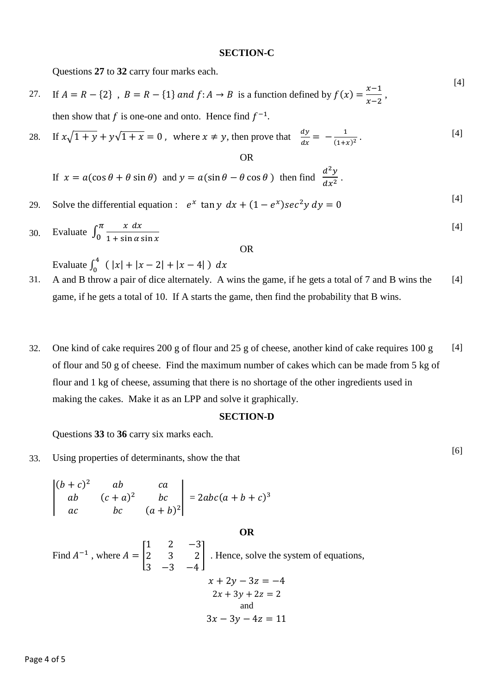#### **SECTION-C**

Questions **27** to **32** carry four marks each.

- 27. If  $A = R \{2\}$ ,  $B = R \{1\}$  and  $f: A \rightarrow B$  is a function defined by  $f(x) = \frac{x-1}{x-2}$  $\frac{x}{x-2}$ , then show that f is one-one and onto. Hence find  $f^{-1}$ .
- 28. If  $x\sqrt{1+y} + y\sqrt{1+x} = 0$ , where  $x \neq y$ , then prove that  $\frac{dy}{dx} = -\frac{1}{(1+x)^2}$  $\frac{1}{(1+x)^2}$ . OR [4]

If 
$$
x = a(\cos \theta + \theta \sin \theta)
$$
 and  $y = a(\sin \theta - \theta \cos \theta)$  then find  $\frac{d^2y}{dx^2}$ .

- 29. Solve the differential equation :  $e^x \tan y \, dx + (1 e^x) \sec^2 y \, dy = 0$
- 30. Evaluate  $\int_0^{\pi} \frac{x \, dx}{1 + \sin x}$  $1 + \sin \alpha \sin x$  $\pi$ 0 [4]

OR

Evaluate  $\int_0^4 (|x| + |x - 2| + |x - 4|) dx$ 

- 31. A and B throw a pair of dice alternately. A wins the game, if he gets a total of 7 and B wins the game, if he gets a total of 10. If A starts the game, then find the probability that B wins. [4]
- 32. One kind of cake requires 200 g of flour and 25 g of cheese, another kind of cake requires 100 g of flour and 50 g of cheese. Find the maximum number of cakes which can be made from 5 kg of flour and 1 kg of cheese, assuming that there is no shortage of the other ingredients used in making the cakes. Make it as an LPP and solve it graphically. [4]

### **SECTION-D**

**OR**

Questions **33** to **36** carry six marks each.

33. Using properties of determinants, show the that

$$
\begin{vmatrix} (b+c)^2 & ab & ca \ ab & (c+a)^2 & bc \ ac & bc & (a+b)^2 \end{vmatrix} = 2abc(a+b+c)^3
$$

Find  $A^{-1}$ , where  $A =$ 1 2 −3 2 3 2 3 −3 −4 ] . Hence, solve the system of equations,  $x + 2y - 3z = -4$  $2x + 3y + 2z = 2$ and  $3x - 3y - 4z = 11$ 

[6]

[4]

[4]